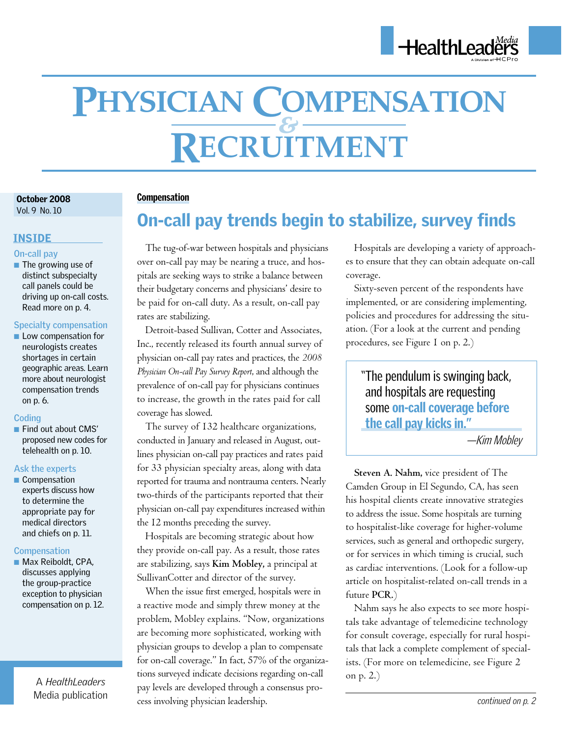

# **Recruitment Physician Compensation** *&*

October 2008 October 2008 Vol. 9 No. 10

### INSIDE

#### **On-call pay**

■ The growing use of distinct subspecialty call panels could be driving up on-call costs. Read more on p. 4.

#### **Specialty compensation**

■ Low compensation for neurologists creates shortages in certain geographic areas. Learn more about neurologist compensation trends on p. 6.

#### **Coding**

■ Find out about CMS' proposed new codes for telehealth on p. 10.

#### **Ask the experts**

■ Compensation experts discuss how to determine the appropriate pay for medical directors and chiefs on p. 11.

#### **Compensation**

■ Max Reiboldt, CPA, discusses applying the group-practice exception to physician compensation on p. 12.

> A *HealthLeaders*  Media publication

### Compensation

## On-call pay trends begin to stabilize, survey finds

The tug-of-war between hospitals and physicians over on-call pay may be nearing a truce, and hospitals are seeking ways to strike a balance between their budgetary concerns and physicians' desire to be paid for on-call duty. As a result, on-call pay rates are stabilizing.

Detroit-based Sullivan, Cotter and Associates, Inc., recently released its fourth annual survey of physician on-call pay rates and practices, the *2008 Physician On-call Pay Survey Report*, and although the prevalence of on-call pay for physicians continues to increase, the growth in the rates paid for call coverage has slowed.

The survey of 132 healthcare organizations, conducted in January and released in August, outlines physician on-call pay practices and rates paid for 33 physician specialty areas, along with data reported for trauma and nontrauma centers. Nearly two-thirds of the participants reported that their physician on-call pay expenditures increased within the 12 months preceding the survey.

Hospitals are becoming strategic about how they provide on-call pay. As a result, those rates are stabilizing, says **Kim Mobley,** a principal at SullivanCotter and director of the survey.

When the issue first emerged, hospitals were in a reactive mode and simply threw money at the problem, Mobley explains. "Now, organizations are becoming more sophisticated, working with physician groups to develop a plan to compensate for on-call coverage." In fact, 57% of the organizations surveyed indicate decisions regarding on-call pay levels are developed through a consensus process involving physician leadership.

Hospitals are developing a variety of approaches to ensure that they can obtain adequate on-call coverage.

Sixty-seven percent of the respondents have implemented, or are considering implementing, policies and procedures for addressing the situation. (For a look at the current and pending procedures, see Figure 1 on p. 2.)

"The pendulum is swinging back, and hospitals are requesting some on-call coverage before the call pay kicks in."

—Kim Mobley

**Steven A. Nahm,** vice president of The Camden Group in El Segundo, CA, has seen his hospital clients create innovative strategies to address the issue. Some hospitals are turning to hospitalist-like coverage for higher-volume services, such as general and orthopedic surgery, or for services in which timing is crucial, such as cardiac interventions. (Look for a follow-up article on hospitalist-related on-call trends in a future **PCR.**)

Nahm says he also expects to see more hospitals take advantage of telemedicine technology for consult coverage, especially for rural hospitals that lack a complete complement of specialists. (For more on telemedicine, see Figure 2 on p. 2.)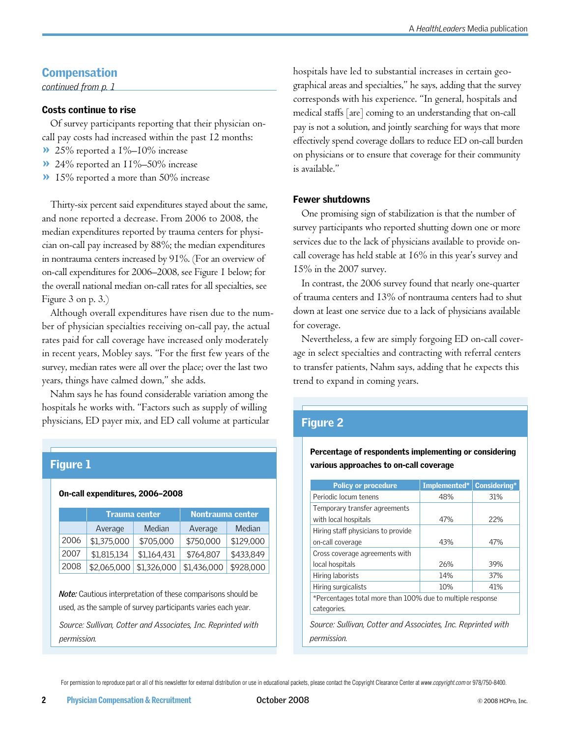## **Compensation**

*continued from p. 1*

#### Costs continue to rise

Of survey participants reporting that their physician oncall pay costs had increased within the past 12 months:

- 25% reported a 1%–10% increase »
- 24% reported an 11%–50% increase »
- >> 15% reported a more than 50% increase

Thirty-six percent said expenditures stayed about the same, and none reported a decrease. From 2006 to 2008, the median expenditures reported by trauma centers for physician on-call pay increased by 88%; the median expenditures in nontrauma centers increased by 91%. (For an overview of on-call expenditures for 2006–2008, see Figure 1 below; for the overall national median on-call rates for all specialties, see Figure 3 on p. 3.)

Although overall expenditures have risen due to the number of physician specialties receiving on-call pay, the actual rates paid for call coverage have increased only moderately in recent years, Mobley says. "For the first few years of the survey, median rates were all over the place; over the last two years, things have calmed down," she adds.

Nahm says he has found considerable variation among the hospitals he works with. "Factors such as supply of willing physicians, ED payer mix, and ED call volume at particular

## Figure 1

#### On-call expenditures, 2006–2008

|      | <b>Trauma center</b> |             | Nontrauma center |           |  |  |
|------|----------------------|-------------|------------------|-----------|--|--|
|      | Average              | Median      | Average          | Median    |  |  |
| 2006 | \$1,375,000          | \$705,000   | \$750,000        | \$129,000 |  |  |
| 2007 | \$1,815,134          | \$1,164,431 | \$764,807        | \$433,849 |  |  |
| 2008 | \$2,065,000          | \$1,326,000 | \$1,436,000      | \$928,000 |  |  |

*Note:* Cautious interpretation of these comparisons should be used, as the sample of survey participants varies each year.

*Source: Sullivan, Cotter and Associates, Inc. Reprinted with permission.*

hospitals have led to substantial increases in certain geographical areas and specialties," he says, adding that the survey corresponds with his experience. "In general, hospitals and medical staffs [are] coming to an understanding that on-call pay is not a solution, and jointly searching for ways that more effectively spend coverage dollars to reduce ED on-call burden on physicians or to ensure that coverage for their community is available."

#### Fewer shutdowns

One promising sign of stabilization is that the number of survey participants who reported shutting down one or more services due to the lack of physicians available to provide oncall coverage has held stable at 16% in this year's survey and 15% in the 2007 survey.

In contrast, the 2006 survey found that nearly one-quarter of trauma centers and 13% of nontrauma centers had to shut down at least one service due to a lack of physicians available for coverage.

Nevertheless, a few are simply forgoing ED on-call coverage in select specialties and contracting with referral centers to transfer patients, Nahm says, adding that he expects this trend to expand in coming years.

## Figure 2

Percentage of respondents implementing or considering various approaches to on-call coverage

| 48%                                                        | 31%                                                                 |
|------------------------------------------------------------|---------------------------------------------------------------------|
|                                                            |                                                                     |
|                                                            |                                                                     |
|                                                            | 22%                                                                 |
|                                                            |                                                                     |
| 43%                                                        | 47%                                                                 |
|                                                            |                                                                     |
| 26%                                                        | 39%                                                                 |
| 14%                                                        | 37%                                                                 |
| 10%                                                        | 41%                                                                 |
| *Percentages total more than 100% due to multiple response |                                                                     |
|                                                            |                                                                     |
|                                                            |                                                                     |
|                                                            |                                                                     |
|                                                            | 47%<br>Source: Sullivan, Cotter and Associates, Inc. Reprinted with |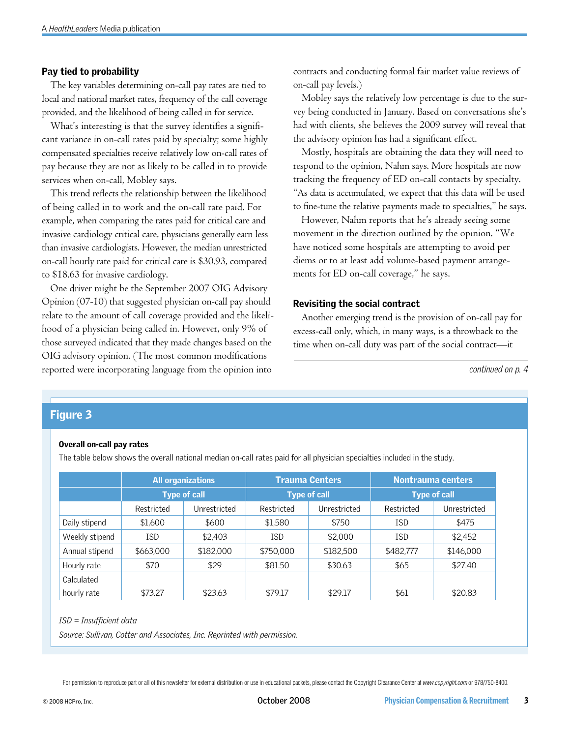#### Pay tied to probability

The key variables determining on-call pay rates are tied to local and national market rates, frequency of the call coverage provided, and the likelihood of being called in for service.

What's interesting is that the survey identifies a significant variance in on-call rates paid by specialty; some highly compensated specialties receive relatively low on-call rates of pay because they are not as likely to be called in to provide services when on-call, Mobley says.

This trend reflects the relationship between the likelihood of being called in to work and the on-call rate paid. For example, when comparing the rates paid for critical care and invasive cardiology critical care, physicians generally earn less than invasive cardiologists. However, the median unrestricted on-call hourly rate paid for critical care is \$30.93, compared to \$18.63 for invasive cardiology.

One driver might be the September 2007 OIG Advisory Opinion (07-10) that suggested physician on-call pay should relate to the amount of call coverage provided and the likelihood of a physician being called in. However, only 9% of those surveyed indicated that they made changes based on the OIG advisory opinion. (The most common modifications reported were incorporating language from the opinion into

contracts and conducting formal fair market value reviews of on-call pay levels.)

Mobley says the relatively low percentage is due to the survey being conducted in January. Based on conversations she's had with clients, she believes the 2009 survey will reveal that the advisory opinion has had a significant effect.

Mostly, hospitals are obtaining the data they will need to respond to the opinion, Nahm says. More hospitals are now tracking the frequency of ED on-call contacts by specialty. "As data is accumulated, we expect that this data will be used to fine-tune the relative payments made to specialties," he says.

However, Nahm reports that he's already seeing some movement in the direction outlined by the opinion. "We have noticed some hospitals are attempting to avoid per diems or to at least add volume-based payment arrangements for ED on-call coverage," he says.

#### Revisiting the social contract

Another emerging trend is the provision of on-call pay for excess-call only, which, in many ways, is a throwback to the time when on-call duty was part of the social contract—it

*continued on p. 4*

## Figure 3

#### Overall on-call pay rates

The table below shows the overall national median on-call rates paid for all physician specialties included in the study.

|                | <b>All organizations</b> |              |                     | <b>Trauma Centers</b> | <b>Nontrauma centers</b> |              |
|----------------|--------------------------|--------------|---------------------|-----------------------|--------------------------|--------------|
|                | <b>Type of call</b>      |              | <b>Type of call</b> |                       | <b>Type of call</b>      |              |
|                | Restricted               | Unrestricted | Restricted          | Unrestricted          | Restricted               | Unrestricted |
| Daily stipend  | \$1,600                  | \$600        | \$1,580             | \$750                 | <b>ISD</b>               | \$475        |
| Weekly stipend | ISD                      | \$2,403      | ISD                 | \$2,000               | <b>ISD</b>               | \$2,452      |
| Annual stipend | \$663,000                | \$182,000    | \$750,000           | \$182,500             | \$482,777                | \$146,000    |
| Hourly rate    | \$70                     | \$29         | \$81.50             | \$30.63               | \$65                     | \$27.40      |
| Calculated     |                          |              |                     |                       |                          |              |
| hourly rate    | \$73.27                  | \$23.63      | \$79.17             | \$29.17               | \$61                     | \$20.83      |

*ISD = Insufficient data*

*Source: Sullivan, Cotter and Associates, Inc. Reprinted with permission.*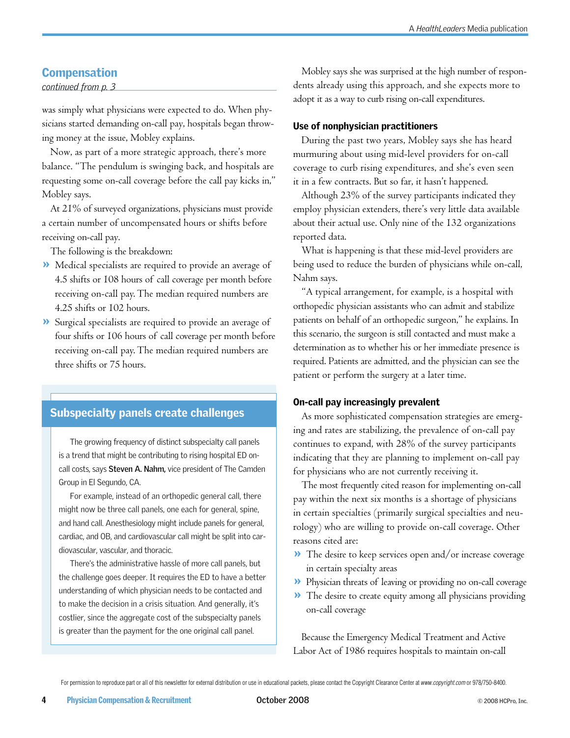## **Compensation**

#### *continued from p. 3*

was simply what physicians were expected to do. When physicians started demanding on-call pay, hospitals began throwing money at the issue, Mobley explains.

Now, as part of a more strategic approach, there's more balance. "The pendulum is swinging back, and hospitals are requesting some on-call coverage before the call pay kicks in," Mobley says.

At 21% of surveyed organizations, physicians must provide a certain number of uncompensated hours or shifts before receiving on-call pay.

The following is the breakdown:

- Medical specialists are required to provide an average of » 4.5 shifts or 108 hours of call coverage per month before receiving on-call pay. The median required numbers are 4.25 shifts or 102 hours.
- Surgical specialists are required to provide an average of » four shifts or 106 hours of call coverage per month before receiving on-call pay. The median required numbers are three shifts or 75 hours.

## Subspecialty panels create challenges

The growing frequency of distinct subspecialty call panels is a trend that might be contributing to rising hospital ED oncall costs, says **Steven A. Nahm,** vice president of The Camden Group in El Segundo, CA.

For example, instead of an orthopedic general call, there might now be three call panels, one each for general, spine, and hand call. Anesthesiology might include panels for general, cardiac, and OB, and cardiovascular call might be split into cardiovascular, vascular, and thoracic.

There's the administrative hassle of more call panels, but the challenge goes deeper. It requires the ED to have a better understanding of which physician needs to be contacted and to make the decision in a crisis situation. And generally, it's costlier, since the aggregate cost of the subspecialty panels is greater than the payment for the one original call panel.

Mobley says she was surprised at the high number of respondents already using this approach, and she expects more to adopt it as a way to curb rising on-call expenditures.

#### Use of nonphysician practitioners

During the past two years, Mobley says she has heard murmuring about using mid-level providers for on-call coverage to curb rising expenditures, and she's even seen it in a few contracts. But so far, it hasn't happened.

Although 23% of the survey participants indicated they employ physician extenders, there's very little data available about their actual use. Only nine of the 132 organizations reported data.

What is happening is that these mid-level providers are being used to reduce the burden of physicians while on-call, Nahm says.

"A typical arrangement, for example, is a hospital with orthopedic physician assistants who can admit and stabilize patients on behalf of an orthopedic surgeon," he explains. In this scenario, the surgeon is still contacted and must make a determination as to whether his or her immediate presence is required. Patients are admitted, and the physician can see the patient or perform the surgery at a later time.

#### On-call pay increasingly prevalent

As more sophisticated compensation strategies are emerging and rates are stabilizing, the prevalence of on-call pay continues to expand, with 28% of the survey participants indicating that they are planning to implement on-call pay for physicians who are not currently receiving it.

The most frequently cited reason for implementing on-call pay within the next six months is a shortage of physicians in certain specialties (primarily surgical specialties and neurology) who are willing to provide on-call coverage. Other reasons cited are:

- The desire to keep services open and/or increase coverage » in certain specialty areas
- Physician threats of leaving or providing no on-call coverage »
- The desire to create equity among all physicians providing » on-call coverage

Because the Emergency Medical Treatment and Active Labor Act of 1986 requires hospitals to maintain on-call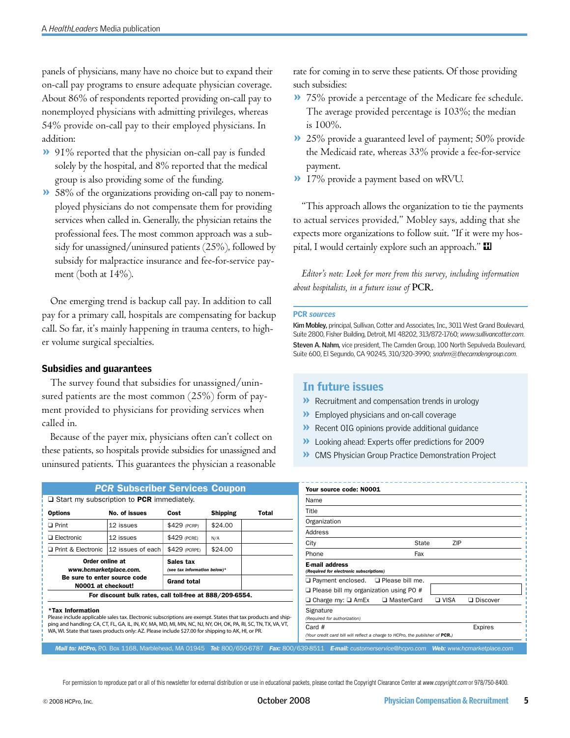panels of physicians, many have no choice but to expand their on-call pay programs to ensure adequate physician coverage. About 86% of respondents reported providing on-call pay to nonemployed physicians with admitting privileges, whereas 54% provide on-call pay to their employed physicians. In addition:

- 91% reported that the physician on-call pay is funded » solely by the hospital, and 8% reported that the medical group is also providing some of the funding.
- 58% of the organizations providing on-call pay to nonem-» ployed physicians do not compensate them for providing services when called in. Generally, the physician retains the professional fees. The most common approach was a subsidy for unassigned/uninsured patients (25%), followed by subsidy for malpractice insurance and fee-for-service payment (both at 14%).

One emerging trend is backup call pay. In addition to call pay for a primary call, hospitals are compensating for backup call. So far, it's mainly happening in trauma centers, to higher volume surgical specialties.

#### Subsidies and guarantees

The survey found that subsidies for unassigned/uninsured patients are the most common (25%) form of payment provided to physicians for providing services when called in.

Because of the payer mix, physicians often can't collect on these patients, so hospitals provide subsidies for unassigned and uninsured patients. This guarantees the physician a reasonable

|                                                    | <b>PCR Subscriber Services Coupon</b>                                                                                                                                                                               |                                           |                 |                               | Your source code: N0001                                        |
|----------------------------------------------------|---------------------------------------------------------------------------------------------------------------------------------------------------------------------------------------------------------------------|-------------------------------------------|-----------------|-------------------------------|----------------------------------------------------------------|
| $\Box$ Start my subscription to PCR immediately.   |                                                                                                                                                                                                                     |                                           |                 |                               | Name                                                           |
| <b>Options</b>                                     | No. of issues                                                                                                                                                                                                       | Cost                                      | <b>Shipping</b> | Total                         | Title                                                          |
| $\Box$ Print                                       | 12 issues                                                                                                                                                                                                           | \$429 (PCRP)                              | \$24.00         |                               | Organization                                                   |
| $\Box$ Electronic                                  | 12 issues                                                                                                                                                                                                           | \$429 (PCRE)                              | N/A             |                               | Address                                                        |
| Print & Electronic                                 | 12 issues of each                                                                                                                                                                                                   | \$429 (PCRPE)                             | \$24.00         |                               | City                                                           |
|                                                    |                                                                                                                                                                                                                     |                                           |                 |                               | Phone                                                          |
| Order online at<br>www.hcmarketplace.com.          |                                                                                                                                                                                                                     | Sales tax<br>(see tax information below)* |                 |                               | <b>E-mail address</b><br>(Required for electronic subscription |
| Be sure to enter source code<br>N0001 at checkout! |                                                                                                                                                                                                                     | <b>Grand total</b>                        |                 | $\Box$ Payment enclosed.<br>□ |                                                                |
|                                                    | For discount bulk rates, call toll-free at 888/209-6554.                                                                                                                                                            |                                           |                 |                               | $\Box$ Please bill my organizat                                |
|                                                    |                                                                                                                                                                                                                     |                                           |                 |                               | $\Box$ Charge my: $\Box$ AmEx                                  |
| *Tax Information                                   | Please include applicable sales tax. Electronic subscriptions are exempt. States that tax products and ship-                                                                                                        |                                           |                 |                               | Signature<br>(Required for authorization)                      |
|                                                    | ping and handling: CA, CT, FL, GA, IL, IN, KY, MA, MD, MI, MN, NC, NJ, NY, OH, OK, PA, RI, SC, TN, TX, VA, VT,<br>WA, WI. State that taxes products only: AZ. Please include \$27.00 for shipping to AK, HI, or PR. |                                           |                 |                               | Card $#$<br>Nous asodit cord bill will soficet a cha           |

*Mail to: HCPro, P.O. Box 1168, Marblehead, MA 01945 Tel: 800/650-6787 <i>Fax:* 800

rate for coming in to serve these patients. Of those providing such subsidies:

- 75% provide a percentage of the Medicare fee schedule. » The average provided percentage is 103%; the median is 100%.
- 25% provide a guaranteed level of payment; 50% provide » the Medicaid rate, whereas 33% provide a fee-for-service payment.
- 17% provide a payment based on wRVU. »

"This approach allows the organization to tie the payments to actual services provided," Mobley says, adding that she expects more organizations to follow suit. "If it were my hospital, I would certainly explore such an approach."  $\blacksquare$ 

*Editor's note: Look for more from this survey, including information about hospitalists, in a future issue of* **PCR.**

#### PCR *sources*

**Kim Mobley,** principal, Sullivan, Cotter and Associates, Inc., 3011 West Grand Boulevard, Suite 2800, Fisher Building, Detroit, MI 48202, 313/872-1760; *www.sullivancotter.com*. **Steven A. Nahm,** vice president, The Camden Group, 100 North Sepulveda Boulevard, Suite 600, El Segundo, CA 90245, 310/320-3990; *snahm@thecamdengroup.com*.

#### In future issues

- $\blacktriangleright$  Recruitment and compensation trends in urology
- >> Employed physicians and on-call coverage
- **>>** Recent OIG opinions provide additional guidance
- **>>** Looking ahead: Experts offer predictions for 2009
- CMS Physician Group Practice Demonstration Project »

| ZIP         |                                                                               |
|-------------|-------------------------------------------------------------------------------|
|             |                                                                               |
|             |                                                                               |
|             |                                                                               |
|             |                                                                               |
|             |                                                                               |
|             |                                                                               |
|             |                                                                               |
|             |                                                                               |
|             |                                                                               |
| $\Box$ VISA | □ Discover                                                                    |
|             |                                                                               |
|             | <b>Expires</b>                                                                |
|             | (Your credit card bill will reflect a charge to HCPro, the publisher of PCR.) |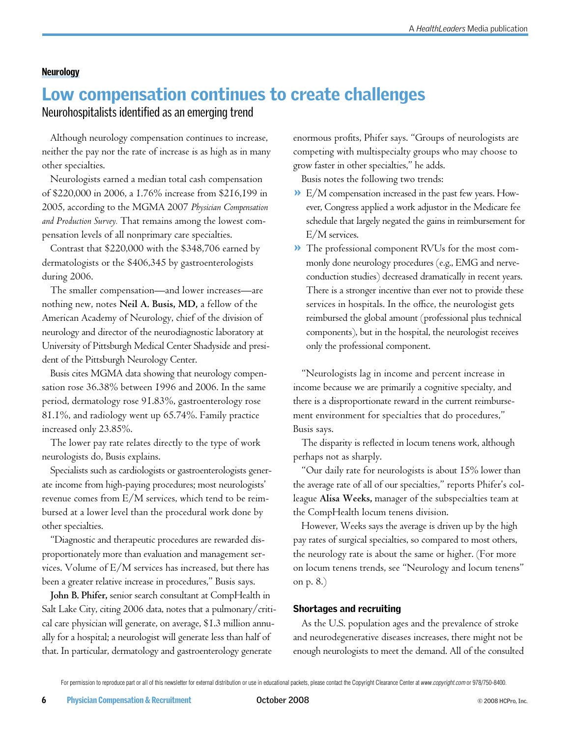#### Neurology

## Low compensation continues to create challenges

Neurohospitalists identified as an emerging trend

Although neurology compensation continues to increase, neither the pay nor the rate of increase is as high as in many other specialties.

Neurologists earned a median total cash compensation of \$220,000 in 2006, a 1.76% increase from \$216,199 in 2005, according to the MGMA 2007 *Physician Compensation and Production Survey.* That remains among the lowest compensation levels of all nonprimary care specialties.

Contrast that \$220,000 with the \$348,706 earned by dermatologists or the \$406,345 by gastroenterologists during 2006.

The smaller compensation—and lower increases—are nothing new, notes **Neil A. Busis, MD,** a fellow of the American Academy of Neurology, chief of the division of neurology and director of the neurodiagnostic laboratory at University of Pittsburgh Medical Center Shadyside and president of the Pittsburgh Neurology Center.

Busis cites MGMA data showing that neurology compensation rose 36.38% between 1996 and 2006. In the same period, dermatology rose 91.83%, gastroenterology rose 81.1%, and radiology went up 65.74%. Family practice increased only 23.85%.

The lower pay rate relates directly to the type of work neurologists do, Busis explains.

Specialists such as cardiologists or gastroenterologists generate income from high-paying procedures; most neurologists' revenue comes from E/M services, which tend to be reimbursed at a lower level than the procedural work done by other specialties.

"Diagnostic and therapeutic procedures are rewarded disproportionately more than evaluation and management services. Volume of E/M services has increased, but there has been a greater relative increase in procedures," Busis says.

**John B. Phifer,** senior search consultant at CompHealth in Salt Lake City, citing 2006 data, notes that a pulmonary/critical care physician will generate, on average, \$1.3 million annually for a hospital; a neurologist will generate less than half of that. In particular, dermatology and gastroenterology generate

enormous profits, Phifer says. "Groups of neurologists are competing with multispecialty groups who may choose to grow faster in other specialties," he adds.

Busis notes the following two trends:

- E/M compensation increased in the past few years. How-» ever, Congress applied a work adjustor in the Medicare fee schedule that largely negated the gains in reimbursement for E/M services.
- The professional component RVUs for the most com-»monly done neurology procedures (e.g., EMG and nerveconduction studies) decreased dramatically in recent years. There is a stronger incentive than ever not to provide these services in hospitals. In the office, the neurologist gets reimbursed the global amount (professional plus technical components), but in the hospital, the neurologist receives only the professional component.

"Neurologists lag in income and percent increase in income because we are primarily a cognitive specialty, and there is a disproportionate reward in the current reimbursement environment for specialties that do procedures," Busis says.

The disparity is reflected in locum tenens work, although perhaps not as sharply.

"Our daily rate for neurologists is about 15% lower than the average rate of all of our specialties," reports Phifer's colleague **Alisa Weeks,** manager of the subspecialties team at the CompHealth locum tenens division.

However, Weeks says the average is driven up by the high pay rates of surgical specialties, so compared to most others, the neurology rate is about the same or higher. (For more on locum tenens trends, see "Neurology and locum tenens" on p. 8.)

#### Shortages and recruiting

As the U.S. population ages and the prevalence of stroke and neurodegenerative diseases increases, there might not be enough neurologists to meet the demand. All of the consulted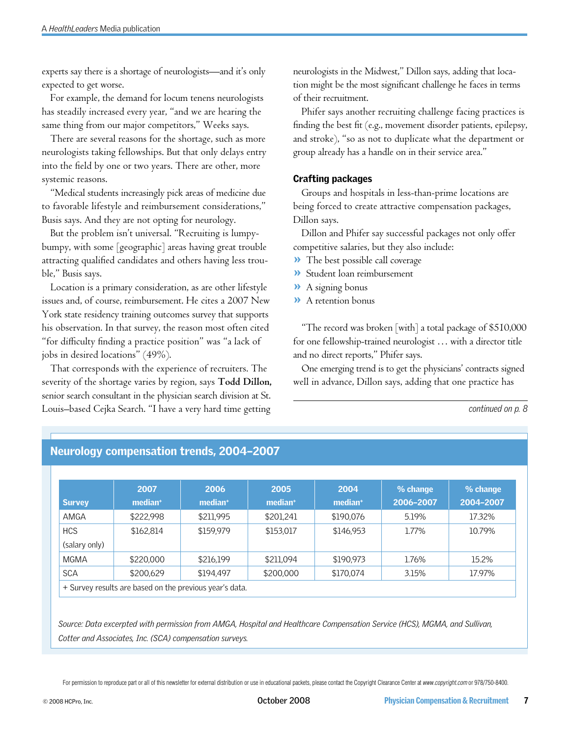experts say there is a shortage of neurologists—and it's only expected to get worse.

For example, the demand for locum tenens neurologists has steadily increased every year, "and we are hearing the same thing from our major competitors," Weeks says.

There are several reasons for the shortage, such as more neurologists taking fellowships. But that only delays entry into the field by one or two years. There are other, more systemic reasons.

"Medical students increasingly pick areas of medicine due to favorable lifestyle and reimbursement considerations," Busis says. And they are not opting for neurology.

But the problem isn't universal. "Recruiting is lumpybumpy, with some [geographic] areas having great trouble attracting qualified candidates and others having less trouble," Busis says.

Location is a primary consideration, as are other lifestyle issues and, of course, reimbursement. He cites a 2007 New York state residency training outcomes survey that supports his observation. In that survey, the reason most often cited "for difficulty finding a practice position" was "a lack of jobs in desired locations" (49%).

That corresponds with the experience of recruiters. The severity of the shortage varies by region, says **Todd Dillon,** senior search consultant in the physician search division at St. Louis–based Cejka Search. "I have a very hard time getting

neurologists in the Midwest," Dillon says, adding that location might be the most significant challenge he faces in terms of their recruitment.

Phifer says another recruiting challenge facing practices is finding the best fit (e.g., movement disorder patients, epilepsy, and stroke), "so as not to duplicate what the department or group already has a handle on in their service area."

## Crafting packages

Groups and hospitals in less-than-prime locations are being forced to create attractive compensation packages, Dillon says.

Dillon and Phifer say successful packages not only offer competitive salaries, but they also include:

- >> The best possible call coverage
- Student loan reimbursement »
- A signing bonus »
- A retention bonus »

"The record was broken [with] a total package of \$510,000 for one fellowship-trained neurologist … with a director title and no direct reports," Phifer says.

One emerging trend is to get the physicians' contracts signed well in advance, Dillon says, adding that one practice has

*continued on p. 8*

|               | 2007                | 2006                | 2005                | 2004                | % change  | % change  |
|---------------|---------------------|---------------------|---------------------|---------------------|-----------|-----------|
| <b>Survey</b> | median <sup>+</sup> | median <sup>+</sup> | median <sup>+</sup> | median <sup>+</sup> | 2006-2007 | 2004-2007 |
| AMGA          | \$222,998           | \$211,995           | \$201.241           | \$190,076           | 5.19%     | 17.32%    |
| <b>HCS</b>    | \$162.814           | \$159.979           | \$153,017           | \$146.953           | 1.77%     | 10.79%    |
| (salary only) |                     |                     |                     |                     |           |           |
| MGMA          | \$220,000           | \$216,199           | \$211,094           | \$190.973           | 1.76%     | 15.2%     |
| <b>SCA</b>    | \$200.629           | \$194.497           | \$200,000           | \$170,074           | 3.15%     | 17.97%    |

## Neurology compensation trends, 2004–2007

*Source: Data excerpted with permission from AMGA, Hospital and Healthcare Compensation Service (HCS), MGMA, and Sullivan, Cotter and Associates, Inc. (SCA) compensation surveys.*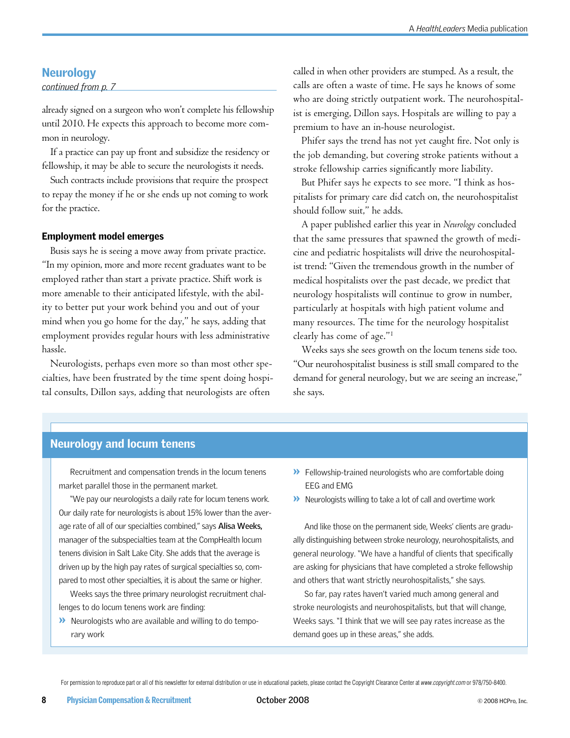## **Neurology**

*continued from p. 7*

already signed on a surgeon who won't complete his fellowship until 2010. He expects this approach to become more common in neurology.

If a practice can pay up front and subsidize the residency or fellowship, it may be able to secure the neurologists it needs.

Such contracts include provisions that require the prospect to repay the money if he or she ends up not coming to work for the practice.

#### Employment model emerges

Busis says he is seeing a move away from private practice. "In my opinion, more and more recent graduates want to be employed rather than start a private practice. Shift work is more amenable to their anticipated lifestyle, with the ability to better put your work behind you and out of your mind when you go home for the day," he says, adding that employment provides regular hours with less administrative hassle.

Neurologists, perhaps even more so than most other specialties, have been frustrated by the time spent doing hospital consults, Dillon says, adding that neurologists are often

called in when other providers are stumped. As a result, the calls are often a waste of time. He says he knows of some who are doing strictly outpatient work. The neurohospitalist is emerging, Dillon says. Hospitals are willing to pay a premium to have an in-house neurologist.

Phifer says the trend has not yet caught fire. Not only is the job demanding, but covering stroke patients without a stroke fellowship carries significantly more liability.

But Phifer says he expects to see more. "I think as hospitalists for primary care did catch on, the neurohospitalist should follow suit," he adds.

A paper published earlier this year in *Neurology* concluded that the same pressures that spawned the growth of medicine and pediatric hospitalists will drive the neurohospitalist trend: "Given the tremendous growth in the number of medical hospitalists over the past decade, we predict that neurology hospitalists will continue to grow in number, particularly at hospitals with high patient volume and many resources. The time for the neurology hospitalist clearly has come of age."1

Weeks says she sees growth on the locum tenens side too. "Our neurohospitalist business is still small compared to the demand for general neurology, but we are seeing an increase," she says.

## Neurology and locum tenens

Recruitment and compensation trends in the locum tenens market parallel those in the permanent market.

"We pay our neurologists a daily rate for locum tenens work. Our daily rate for neurologists is about 15% lower than the average rate of all of our specialties combined," says **Alisa Weeks,** manager of the subspecialties team at the CompHealth locum tenens division in Salt Lake City. She adds that the average is driven up by the high pay rates of surgical specialties so, compared to most other specialties, it is about the same or higher.

Weeks says the three primary neurologist recruitment challenges to do locum tenens work are finding:

**>>** Neurologists who are available and willing to do temporary work

- $\blacktriangleright$  Fellowship-trained neurologists who are comfortable doing EEG and EMG
- $\blacktriangleright$  Neurologists willing to take a lot of call and overtime work

And like those on the permanent side, Weeks' clients are gradually distinguishing between stroke neurology, neurohospitalists, and general neurology. "We have a handful of clients that specifically are asking for physicians that have completed a stroke fellowship and others that want strictly neurohospitalists," she says.

So far, pay rates haven't varied much among general and stroke neurologists and neurohospitalists, but that will change, Weeks says. "I think that we will see pay rates increase as the demand goes up in these areas," she adds.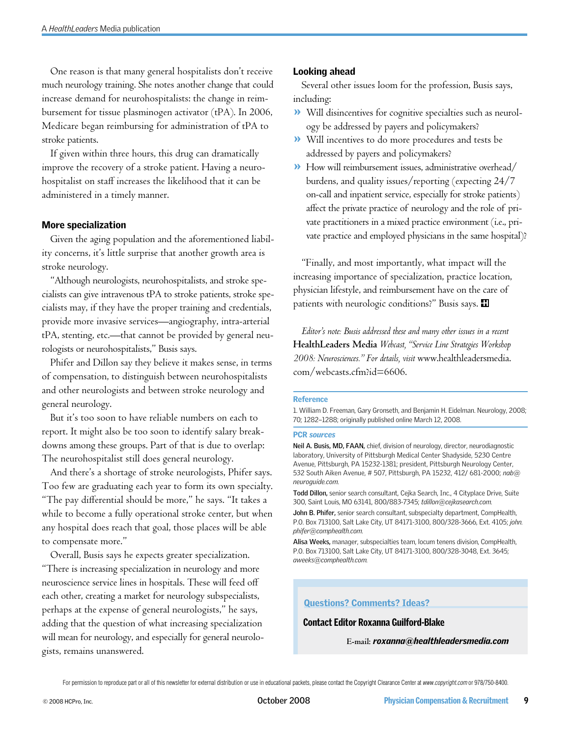One reason is that many general hospitalists don't receive much neurology training. She notes another change that could increase demand for neurohospitalists: the change in reimbursement for tissue plasminogen activator (tPA). In 2006, Medicare began reimbursing for administration of tPA to stroke patients.

If given within three hours, this drug can dramatically improve the recovery of a stroke patient. Having a neurohospitalist on staff increases the likelihood that it can be administered in a timely manner.

#### More specialization

Given the aging population and the aforementioned liability concerns, it's little surprise that another growth area is stroke neurology.

"Although neurologists, neurohospitalists, and stroke specialists can give intravenous tPA to stroke patients, stroke specialists may, if they have the proper training and credentials, provide more invasive services—angiography, intra-arterial tPA, stenting, etc.—that cannot be provided by general neurologists or neurohospitalists," Busis says.

Phifer and Dillon say they believe it makes sense, in terms of compensation, to distinguish between neurohospitalists and other neurologists and between stroke neurology and general neurology.

But it's too soon to have reliable numbers on each to report. It might also be too soon to identify salary breakdowns among these groups. Part of that is due to overlap: The neurohospitalist still does general neurology.

And there's a shortage of stroke neurologists, Phifer says. Too few are graduating each year to form its own specialty. "The pay differential should be more," he says. "It takes a while to become a fully operational stroke center, but when any hospital does reach that goal, those places will be able to compensate more."

Overall, Busis says he expects greater specialization. "There is increasing specialization in neurology and more neuroscience service lines in hospitals. These will feed off each other, creating a market for neurology subspecialists, perhaps at the expense of general neurologists," he says, adding that the question of what increasing specialization will mean for neurology, and especially for general neurologists, remains unanswered.

#### Looking ahead

Several other issues loom for the profession, Busis says, including:

- Will disincentives for cognitive specialties such as neurol-» ogy be addressed by payers and policymakers?
- Will incentives to do more procedures and tests be » addressed by payers and policymakers?
- How will reimbursement issues, administrative overhead/ » burdens, and quality issues/reporting (expecting 24/7 on-call and inpatient service, especially for stroke patients) affect the private practice of neurology and the role of private practitioners in a mixed practice environment (i.e., private practice and employed physicians in the same hospital)?

"Finally, and most importantly, what impact will the increasing importance of specialization, practice location, physician lifestyle, and reimbursement have on the care of patients with neurologic conditions?" Busis says.  $\blacksquare$ 

*Editor's note: Busis addressed these and many other issues in a recent*  **HealthLeaders Media** *Webcast, "Service Line Strategies Workshop 2008: Neurosciences." For details, visit* www.healthleadersmedia. com/webcasts.cfm?id=6606.

#### Reference

1. William D. Freeman, Gary Gronseth, and Benjamin H. Eidelman. Neurology, 2008; 70; 1282–1288; originally published online March 12, 2008.

#### PCR *sources*

**Neil A. Busis, MD, FAAN,** chief, division of neurology, director, neurodiagnostic laboratory, University of Pittsburgh Medical Center Shadyside, 5230 Centre Avenue, Pittsburgh, PA 15232-1381; president, Pittsburgh Neurology Center, 532 South Aiken Avenue, # 507, Pittsburgh, PA 15232, 412/ 681-2000; *nab@ neuroguide.com.*

**Todd Dillon,** senior search consultant, Cejka Search, Inc., 4 Cityplace Drive, Suite 300, Saint Louis, MO 63141, 800/883-7345; *tdillon@cejkasearch.com.*

**John B. Phifer,** senior search consultant, subspecialty department, CompHealth, P.O. Box 713100, Salt Lake City, UT 84171-3100, 800/328-3666, Ext. 4105; *john. phifer@comphealth.com.*

**Alisa Weeks,** manager, subspecialties team, locum tenens division, CompHealth, P.O. Box 713100, Salt Lake City, UT 84171-3100, 800/328-3048, Ext. 3645; *aweeks@comphealth.com.*

#### Questions? Comments? Ideas?

#### Contact Editor Roxanna Guilford-Blake

**E-mail:** *roxanna@healthleadersmedia.com*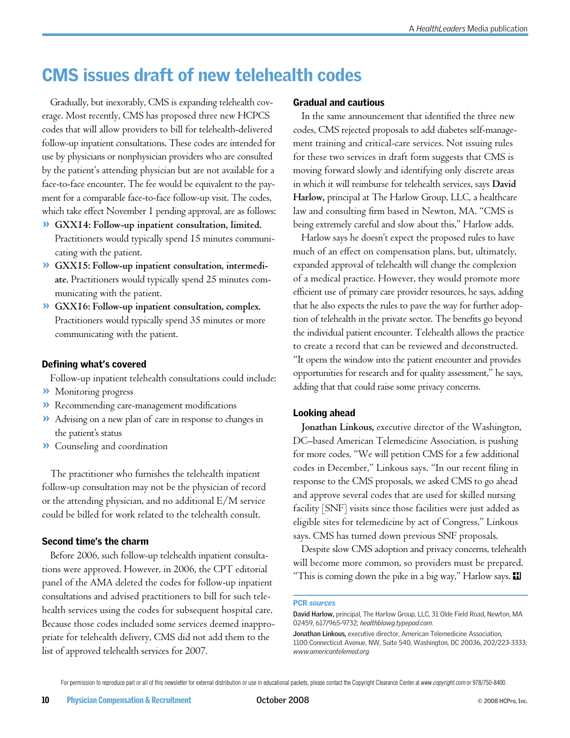## CMS issues draft of new telehealth codes

Gradually, but inexorably, CMS is expanding telehealth coverage. Most recently, CMS has proposed three new HCPCS codes that will allow providers to bill for telehealth-delivered follow-up inpatient consultations. These codes are intended for use by physicians or nonphysician providers who are consulted by the patient's attending physician but are not available for a face-to-face encounter. The fee would be equivalent to the payment for a comparable face-to-face follow-up visit. The codes, which take effect November 1 pending approval, are as follows:

- **GXX14: Follow-up inpatient consultation, limited.**  » Practitioners would typically spend 15 minutes communicating with the patient.
- **GXX15: Follow-up inpatient consultation, intermedi-**» **ate.** Practitioners would typically spend 25 minutes communicating with the patient.
- **GXX16: Follow-up inpatient consultation, complex.**  » Practitioners would typically spend 35 minutes or more communicating with the patient.

#### Defining what's covered

Follow-up inpatient telehealth consultations could include:

- Monitoring progress »
- Recommending care-management modifications »
- Advising on a new plan of care in response to changes in » the patient's status
- Counseling and coordination »

The practitioner who furnishes the telehealth inpatient follow-up consultation may not be the physician of record or the attending physician, and no additional E/M service could be billed for work related to the telehealth consult.

#### Second time's the charm

Before 2006, such follow-up telehealth inpatient consultations were approved. However, in 2006, the CPT editorial panel of the AMA deleted the codes for follow-up inpatient consultations and advised practitioners to bill for such telehealth services using the codes for subsequent hospital care. Because those codes included some services deemed inappropriate for telehealth delivery, CMS did not add them to the list of approved telehealth services for 2007.

#### Gradual and cautious

In the same announcement that identified the three new codes, CMS rejected proposals to add diabetes self-management training and critical-care services. Not issuing rules for these two services in draft form suggests that CMS is moving forward slowly and identifying only discrete areas in which it will reimburse for telehealth services, says **David Harlow,** principal at The Harlow Group, LLC, a healthcare law and consulting firm based in Newton, MA. "CMS is being extremely careful and slow about this," Harlow adds.

Harlow says he doesn't expect the proposed rules to have much of an effect on compensation plans, but, ultimately, expanded approval of telehealth will change the complexion of a medical practice. However, they would promote more efficient use of primary care provider resources, he says, adding that he also expects the rules to pave the way for further adoption of telehealth in the private sector. The benefits go beyond the individual patient encounter. Telehealth allows the practice to create a record that can be reviewed and deconstructed. "It opens the window into the patient encounter and provides opportunities for research and for quality assessment," he says, adding that that could raise some privacy concerns.

#### Looking ahead

**Jonathan Linkous,** executive director of the Washington, DC–based American Telemedicine Association, is pushing for more codes. "We will petition CMS for a few additional codes in December," Linkous says. "In our recent filing in response to the CMS proposals, we asked CMS to go ahead and approve several codes that are used for skilled nursing facility [SNF] visits since those facilities were just added as eligible sites for telemedicine by act of Congress," Linkous says. CMS has turned down previous SNF proposals.

Despite slow CMS adoption and privacy concerns, telehealth will become more common, so providers must be prepared. "This is coming down the pike in a big way," Harlow says.  $\blacksquare$ 

#### PCR *sources*

**David Harlow,** principal, The Harlow Group, LLC, 31 Olde Field Road, Newton, MA 02459, 617/965-9732; *healthblawg.typepad.com*.

**Jonathan Linkous,** executive director, American Telemedicine Association, 1100 Connecticut Avenue, NW, Suite 540, Washington, DC 20036, 202/223-3333; *www.americantelemed.org.*

For permission to reproduce part or all of this newsletter for external distribution or use in educational packets, please contact the Copyright Clearance Center at *www.copyright.com* or 978/750-8400.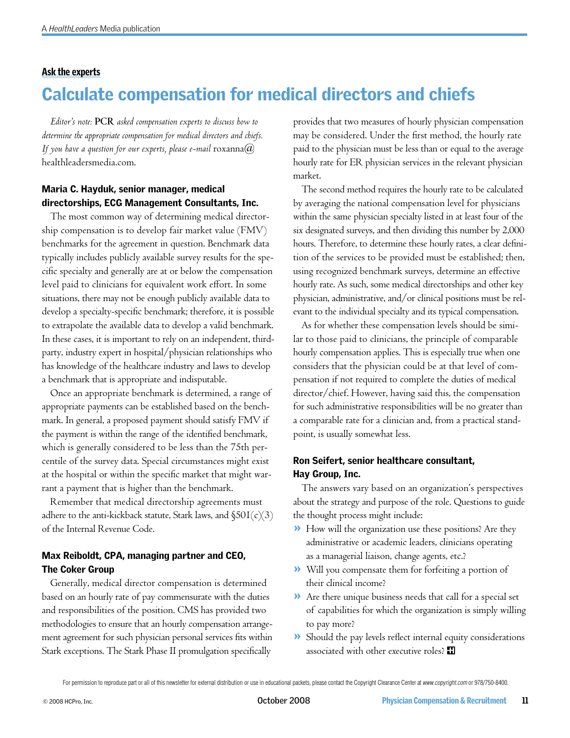#### Ask the experts

## Calculate compensation for medical directors and chiefs

*Editor's note:* **PCR** *asked compensation experts to discuss how to determine the appropriate compensation for medical directors and chiefs. If you have a question for our experts, please e-mail*  $\text{roxanna}(a)$ healthleadersmedia.com.

## Maria C. Hayduk, senior manager, medical directorships, ECG Management Consultants, Inc.

The most common way of determining medical directorship compensation is to develop fair market value (FMV) benchmarks for the agreement in question. Benchmark data typically includes publicly available survey results for the specific specialty and generally are at or below the compensation level paid to clinicians for equivalent work effort. In some situations, there may not be enough publicly available data to develop a specialty-specific benchmark; therefore, it is possible to extrapolate the available data to develop a valid benchmark. In these cases, it is important to rely on an independent, thirdparty, industry expert in hospital/physician relationships who has knowledge of the healthcare industry and laws to develop a benchmark that is appropriate and indisputable.

Once an appropriate benchmark is determined, a range of appropriate payments can be established based on the benchmark. In general, a proposed payment should satisfy FMV if the payment is within the range of the identified benchmark, which is generally considered to be less than the 75th percentile of the survey data. Special circumstances might exist at the hospital or within the specific market that might warrant a payment that is higher than the benchmark.

Remember that medical directorship agreements must adhere to the anti-kickback statute, Stark laws, and  $\S50I(c)(3)$ of the Internal Revenue Code.

### Max Reiboldt, CPA, managing partner and CEO, The Coker Group

Generally, medical director compensation is determined based on an hourly rate of pay commensurate with the duties and responsibilities of the position. CMS has provided two methodologies to ensure that an hourly compensation arrangement agreement for such physician personal services fits within Stark exceptions. The Stark Phase II promulgation specifically

provides that two measures of hourly physician compensation may be considered. Under the first method, the hourly rate paid to the physician must be less than or equal to the average hourly rate for ER physician services in the relevant physician market.

The second method requires the hourly rate to be calculated by averaging the national compensation level for physicians within the same physician specialty listed in at least four of the six designated surveys, and then dividing this number by 2,000 hours. Therefore, to determine these hourly rates, a clear definition of the services to be provided must be established; then, using recognized benchmark surveys, determine an effective hourly rate. As such, some medical directorships and other key physician, administrative, and/or clinical positions must be relevant to the individual specialty and its typical compensation.

As for whether these compensation levels should be similar to those paid to clinicians, the principle of comparable hourly compensation applies. This is especially true when one considers that the physician could be at that level of compensation if not required to complete the duties of medical director/chief. However, having said this, the compensation for such administrative responsibilities will be no greater than a comparable rate for a clinician and, from a practical standpoint, is usually somewhat less.

## Ron Seifert, senior healthcare consultant, Hay Group, Inc.

The answers vary based on an organization's perspectives about the strategy and purpose of the role. Questions to guide the thought process might include:

- >> How will the organization use these positions? Are they administrative or academic leaders, clinicians operating as a managerial liaison, change agents, etc.?
- Will you compensate them for forfeiting a portion of » their clinical income?
- Are there unique business needs that call for a special set » of capabilities for which the organization is simply willing to pay more?
- Should the pay levels reflect internal equity considerations »associated with other executive roles? H

For permission to reproduce part or all of this newsletter for external distribution or use in educational packets, please contact the Copyright Clearance Center at *www.copyright.com* or 978/750-8400.